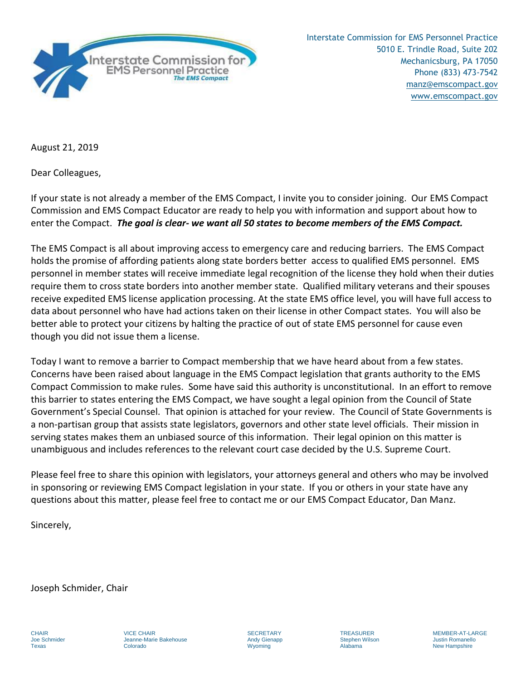

Interstate Commission for EMS Personnel Practice 5010 E. Trindle Road, Suite 202 Mechanicsburg, PA 17050 Phone (833) 473-7542 manz@emscompact.gov [www.emscompact.go](http://www.emsreplica.org/)v

August 21, 2019

Dear Colleagues,

If your state is not already a member of the EMS Compact, I invite you to consider joining. Our EMS Compact Commission and EMS Compact Educator are ready to help you with information and support about how to enter the Compact. *The goal is clear- we want all 50 states to become members of the EMS Compact.*

The EMS Compact is all about improving access to emergency care and reducing barriers. The EMS Compact holds the promise of affording patients along state borders better access to qualified EMS personnel. EMS personnel in member states will receive immediate legal recognition of the license they hold when their duties require them to cross state borders into another member state. Qualified military veterans and their spouses receive expedited EMS license application processing. At the state EMS office level, you will have full access to data about personnel who have had actions taken on their license in other Compact states. You will also be better able to protect your citizens by halting the practice of out of state EMS personnel for cause even though you did not issue them a license.

Today I want to remove a barrier to Compact membership that we have heard about from a few states. Concerns have been raised about language in the EMS Compact legislation that grants authority to the EMS Compact Commission to make rules. Some have said this authority is unconstitutional. In an effort to remove this barrier to states entering the EMS Compact, we have sought a legal opinion from the Council of State Government's Special Counsel. That opinion is attached for your review. The Council of State Governments is a non-partisan group that assists state legislators, governors and other state level officials. Their mission in serving states makes them an unbiased source of this information. Their legal opinion on this matter is unambiguous and includes references to the relevant court case decided by the U.S. Supreme Court.

Please feel free to share this opinion with legislators, your attorneys general and others who may be involved in sponsoring or reviewing EMS Compact legislation in your state. If you or others in your state have any questions about this matter, please feel free to contact me or our EMS Compact Educator, Dan Manz.

Sincerely,

Joseph Schmider, Chair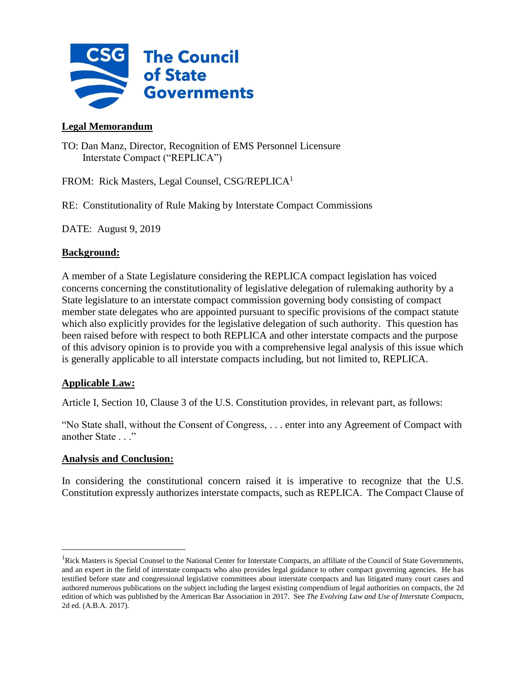

# **Legal Memorandum**

TO: Dan Manz, Director, Recognition of EMS Personnel Licensure Interstate Compact ("REPLICA")

FROM: Rick Masters, Legal Counsel, CSG/REPLICA<sup>1</sup>

RE: Constitutionality of Rule Making by Interstate Compact Commissions

DATE: August 9, 2019

## **Background:**

A member of a State Legislature considering the REPLICA compact legislation has voiced concerns concerning the constitutionality of legislative delegation of rulemaking authority by a State legislature to an interstate compact commission governing body consisting of compact member state delegates who are appointed pursuant to specific provisions of the compact statute which also explicitly provides for the legislative delegation of such authority. This question has been raised before with respect to both REPLICA and other interstate compacts and the purpose of this advisory opinion is to provide you with a comprehensive legal analysis of this issue which is generally applicable to all interstate compacts including, but not limited to, REPLICA.

# **Applicable Law:**

Article I, Section 10, Clause 3 of the U.S. Constitution provides, in relevant part, as follows:

"No State shall, without the Consent of Congress, . . . enter into any Agreement of Compact with another State . . ."

### **Analysis and Conclusion:**

In considering the constitutional concern raised it is imperative to recognize that the U.S. Constitution expressly authorizes interstate compacts, such as REPLICA. The Compact Clause of

<sup>&</sup>lt;sup>1</sup>Rick Masters is Special Counsel to the National Center for Interstate Compacts, an affiliate of the Council of State Governments, and an expert in the field of interstate compacts who also provides legal guidance to other compact governing agencies. He has testified before state and congressional legislative committees about interstate compacts and has litigated many court cases and authored numerous publications on the subject including the largest existing compendium of legal authorities on compacts, the 2d edition of which was published by the American Bar Association in 2017. See *The Evolving Law and Use of Interstate Compacts,* 2d ed. (A.B.A. 2017).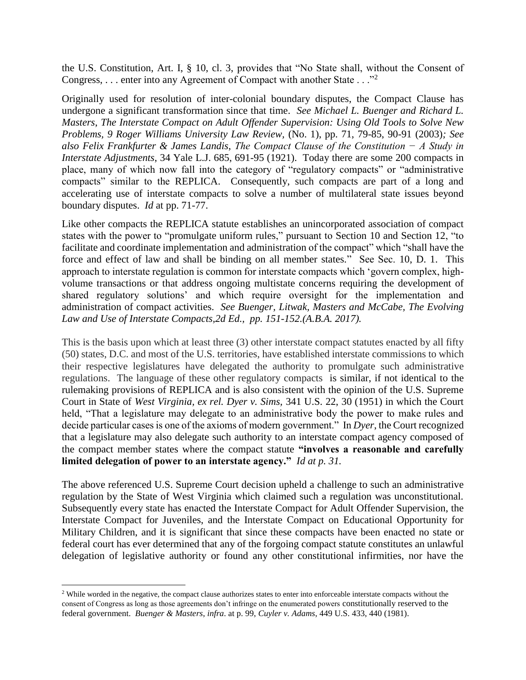the U.S. Constitution, Art. I, § 10, cl. 3, provides that "No State shall, without the Consent of Congress, ... enter into any Agreement of Compact with another State ..."<sup>2</sup>

Originally used for resolution of inter-colonial boundary disputes, the Compact Clause has undergone a significant transformation since that time. *See Michael L. Buenger and Richard L. Masters*, *The Interstate Compact on Adult Offender Supervision: Using Old Tools to Solve New Problems, 9 Roger Williams University Law Review,* (No. 1), pp. 71, 79-85, 90-91 (2003)*; See also Felix Frankfurter & James Landis*, *The Compact Clause of the Constitution − A Study in Interstate Adjustments*, 34 Yale L.J. 685, 691-95 (1921). Today there are some 200 compacts in place, many of which now fall into the category of "regulatory compacts" or "administrative compacts" similar to the REPLICA. Consequently, such compacts are part of a long and accelerating use of interstate compacts to solve a number of multilateral state issues beyond boundary disputes. *Id* at pp. 71-77.

Like other compacts the REPLICA statute establishes an unincorporated association of compact states with the power to "promulgate uniform rules," pursuant to Section 10 and Section 12, "to facilitate and coordinate implementation and administration of the compact" which "shall have the force and effect of law and shall be binding on all member states." See Sec. 10, D. 1. This approach to interstate regulation is common for interstate compacts which 'govern complex, highvolume transactions or that address ongoing multistate concerns requiring the development of shared regulatory solutions' and which require oversight for the implementation and administration of compact activities. *See Buenger, Litwak, Masters and McCabe, The Evolving Law and Use of Interstate Compacts,2d Ed., pp. 151-152.(A.B.A. 2017).*

This is the basis upon which at least three (3) other interstate compact statutes enacted by all fifty (50) states, D.C. and most of the U.S. territories, have established interstate commissions to which their respective legislatures have delegated the authority to promulgate such administrative regulations. The language of these other regulatory compacts is similar, if not identical to the rulemaking provisions of REPLICA and is also consistent with the opinion of the U.S. Supreme Court in State of *West Virginia, ex rel. Dyer v. Sims,* 341 U.S. 22, 30 (1951) in which the Court held, "That a legislature may delegate to an administrative body the power to make rules and decide particular cases is one of the axioms of modern government." In *Dyer*, the Court recognized that a legislature may also delegate such authority to an interstate compact agency composed of the compact member states where the compact statute **"involves a reasonable and carefully limited delegation of power to an interstate agency."** *Id at p. 31.*

The above referenced U.S. Supreme Court decision upheld a challenge to such an administrative regulation by the State of West Virginia which claimed such a regulation was unconstitutional. Subsequently every state has enacted the Interstate Compact for Adult Offender Supervision, the Interstate Compact for Juveniles, and the Interstate Compact on Educational Opportunity for Military Children, and it is significant that since these compacts have been enacted no state or federal court has ever determined that any of the forgoing compact statute constitutes an unlawful delegation of legislative authority or found any other constitutional infirmities, nor have the

<sup>&</sup>lt;sup>2</sup> While worded in the negative, the compact clause authorizes states to enter into enforceable interstate compacts without the consent of Congress as long as those agreements don't infringe on the enumerated powers constitutionally reserved to the federal government. *Buenger & Masters*, *infra*. at p. 99, *Cuyler v. Adams*, 449 U.S. 433, 440 (1981).